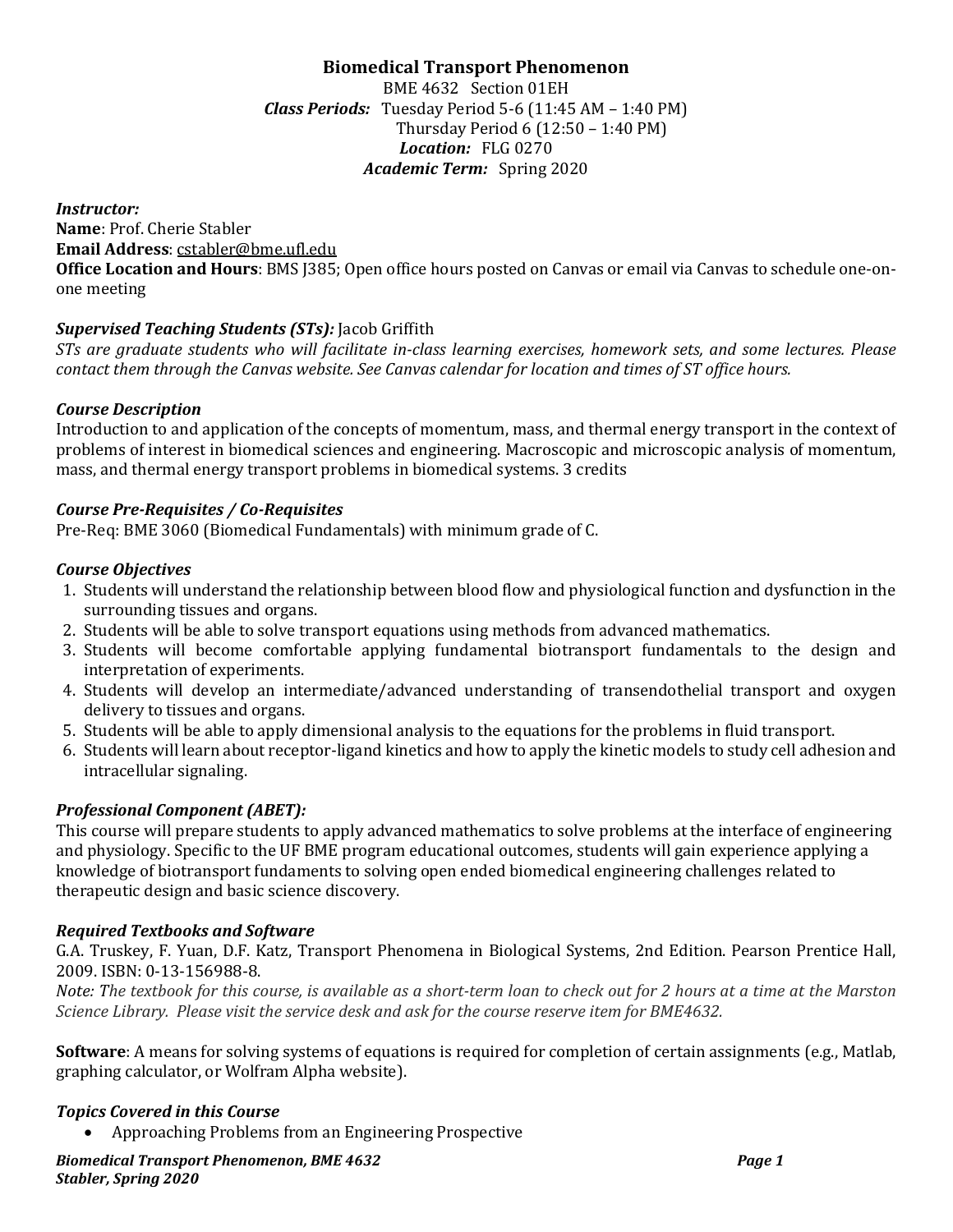# **Biomedical Transport Phenomenon**

BME 4632 Section 01EH *Class Periods:* Tuesday Period 5-6 (11:45 AM – 1:40 PM) Thursday Period 6 (12:50 – 1:40 PM) *Location:* FLG 0270 *Academic Term:* Spring 2020

*Instructor:* **Name**: Prof. Cherie Stabler **Email Address**: [cstabler@bme.ufl.edu](mailto:cstabler@bme.ufl.edu) **Office Location and Hours**: BMS J385; Open office hours posted on Canvas or email via Canvas to schedule one-onone meeting

## *Supervised Teaching Students (STs):* Jacob Griffith

*STs are graduate students who will facilitate in-class learning exercises, homework sets, and some lectures. Please contact them through the Canvas website. See Canvas calendar for location and times of ST office hours.*

### *Course Description*

Introduction to and application of the concepts of momentum, mass, and thermal energy transport in the context of problems of interest in biomedical sciences and engineering. Macroscopic and microscopic analysis of momentum, mass, and thermal energy transport problems in biomedical systems. 3 credits

## *Course Pre-Requisites / Co-Requisites*

Pre-Req: BME 3060 (Biomedical Fundamentals) with minimum grade of C.

### *Course Objectives*

- 1. Students will understand the relationship between blood flow and physiological function and dysfunction in the surrounding tissues and organs.
- 2. Students will be able to solve transport equations using methods from advanced mathematics.
- 3. Students will become comfortable applying fundamental biotransport fundamentals to the design and interpretation of experiments.
- 4. Students will develop an intermediate/advanced understanding of transendothelial transport and oxygen delivery to tissues and organs.
- 5. Students will be able to apply dimensional analysis to the equations for the problems in fluid transport.
- 6. Students will learn about receptor-ligand kinetics and how to apply the kinetic models to study cell adhesion and intracellular signaling.

## *Professional Component (ABET):*

This course will prepare students to apply advanced mathematics to solve problems at the interface of engineering and physiology. Specific to the UF BME program educational outcomes, students will gain experience applying a knowledge of biotransport fundaments to solving open ended biomedical engineering challenges related to therapeutic design and basic science discovery.

## *Required Textbooks and Software*

G.A. Truskey, F. Yuan, D.F. Katz, Transport Phenomena in Biological Systems, 2nd Edition. Pearson Prentice Hall, 2009. ISBN: 0-13-156988-8.

*Note: The textbook for this course, is available as a short-term loan to check out for 2 hours at a time at the Marston Science Library. Please visit the service desk and ask for the course reserve item for BME4632.*

**Software**: A means for solving systems of equations is required for completion of certain assignments (e.g., Matlab, graphing calculator, or Wolfram Alpha website).

## *Topics Covered in this Course*

• Approaching Problems from an Engineering Prospective

*Biomedical Transport Phenomenon, BME 4632 Page 1 Stabler, Spring 2020*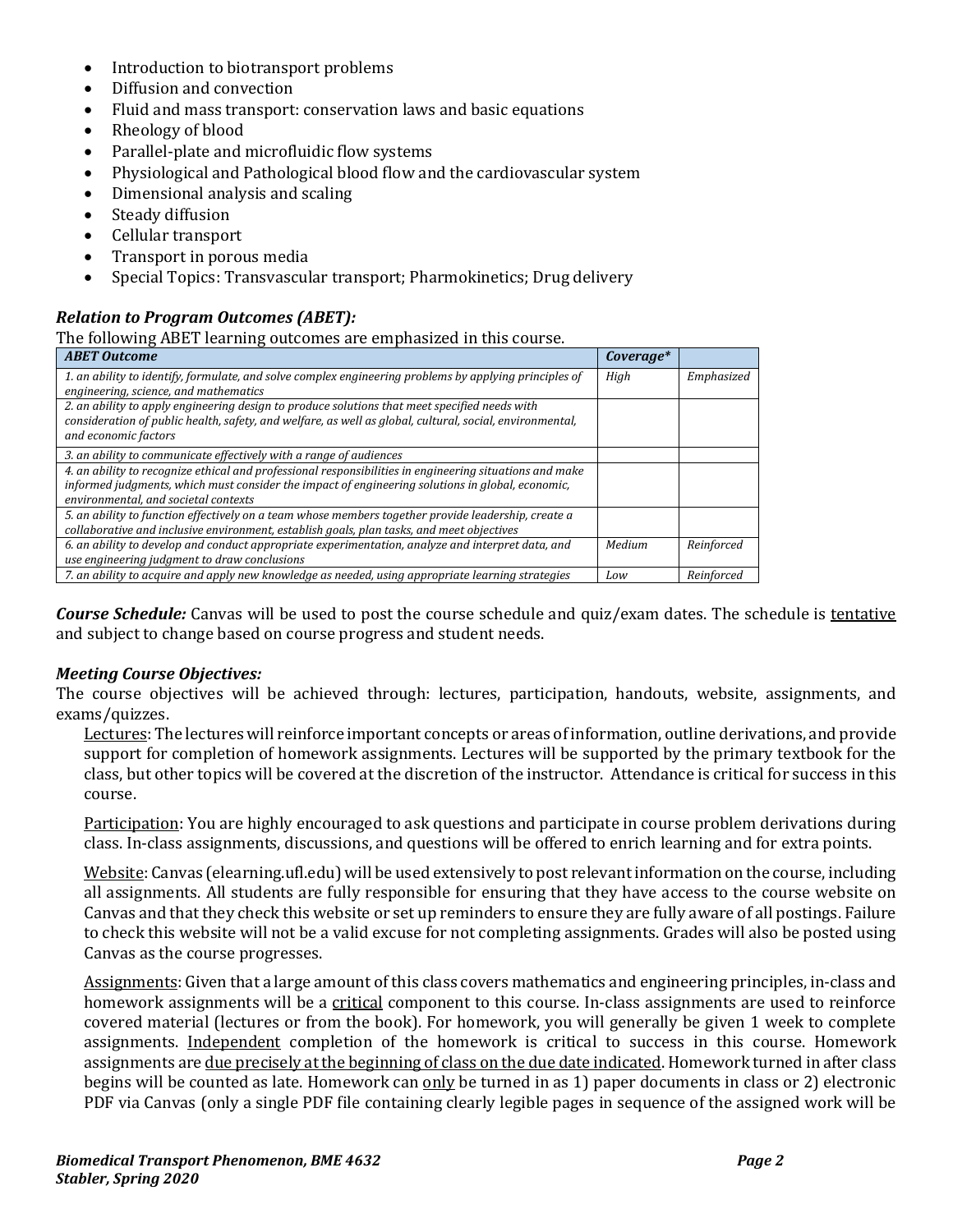- Introduction to biotransport problems
- Diffusion and convection
- Fluid and mass transport: conservation laws and basic equations
- Rheology of blood
- Parallel-plate and microfluidic flow systems
- Physiological and Pathological blood flow and the cardiovascular system
- Dimensional analysis and scaling
- Steady diffusion
- Cellular transport
- Transport in porous media
- Special Topics: Transvascular transport; Pharmokinetics; Drug delivery

### *Relation to Program Outcomes (ABET):*

The following ABET learning outcomes are emphasized in this course.

| <b>ABET Outcome</b>                                                                                      | Coverage* |            |
|----------------------------------------------------------------------------------------------------------|-----------|------------|
| 1. an ability to identify, formulate, and solve complex engineering problems by applying principles of   | High      | Emphasized |
| engineering, science, and mathematics                                                                    |           |            |
| 2. an ability to apply engineering design to produce solutions that meet specified needs with            |           |            |
| consideration of public health, safety, and welfare, as well as global, cultural, social, environmental, |           |            |
| and economic factors                                                                                     |           |            |
| 3. an ability to communicate effectively with a range of audiences                                       |           |            |
| 4. an ability to recognize ethical and professional responsibilities in engineering situations and make  |           |            |
| informed judgments, which must consider the impact of engineering solutions in global, economic,         |           |            |
| environmental, and societal contexts                                                                     |           |            |
| 5. an ability to function effectively on a team whose members together provide leadership, create a      |           |            |
| collaborative and inclusive environment, establish goals, plan tasks, and meet objectives                |           |            |
| 6. an ability to develop and conduct appropriate experimentation, analyze and interpret data, and        | Medium    | Reinforced |
| use engineering judgment to draw conclusions                                                             |           |            |
| 7. an ability to acquire and apply new knowledge as needed, using appropriate learning strategies        | Low       | Reinforced |

*Course Schedule:* Canvas will be used to post the course schedule and quiz/exam dates. The schedule is tentative and subject to change based on course progress and student needs.

#### *Meeting Course Objectives:*

The course objectives will be achieved through: lectures, participation, handouts, website, assignments, and exams/quizzes.

Lectures: The lectures will reinforce important concepts or areas of information, outline derivations, and provide support for completion of homework assignments. Lectures will be supported by the primary textbook for the class, but other topics will be covered at the discretion of the instructor. Attendance is critical for success in this course.

Participation: You are highly encouraged to ask questions and participate in course problem derivations during class. In-class assignments, discussions, and questions will be offered to enrich learning and for extra points.

Website: Canvas (elearning.ufl.edu) will be used extensively to post relevant information on the course, including all assignments. All students are fully responsible for ensuring that they have access to the course website on Canvas and that they check this website or set up reminders to ensure they are fully aware of all postings. Failure to check this website will not be a valid excuse for not completing assignments. Grades will also be posted using Canvas as the course progresses.

Assignments: Given that a large amount of this class covers mathematics and engineering principles, in-class and homework assignments will be a critical component to this course. In-class assignments are used to reinforce covered material (lectures or from the book). For homework, you will generally be given 1 week to complete assignments. Independent completion of the homework is critical to success in this course. Homework assignments are due precisely at the beginning of class on the due date indicated. Homework turned in after class begins will be counted as late. Homework can only be turned in as 1) paper documents in class or 2) electronic PDF via Canvas (only a single PDF file containing clearly legible pages in sequence of the assigned work will be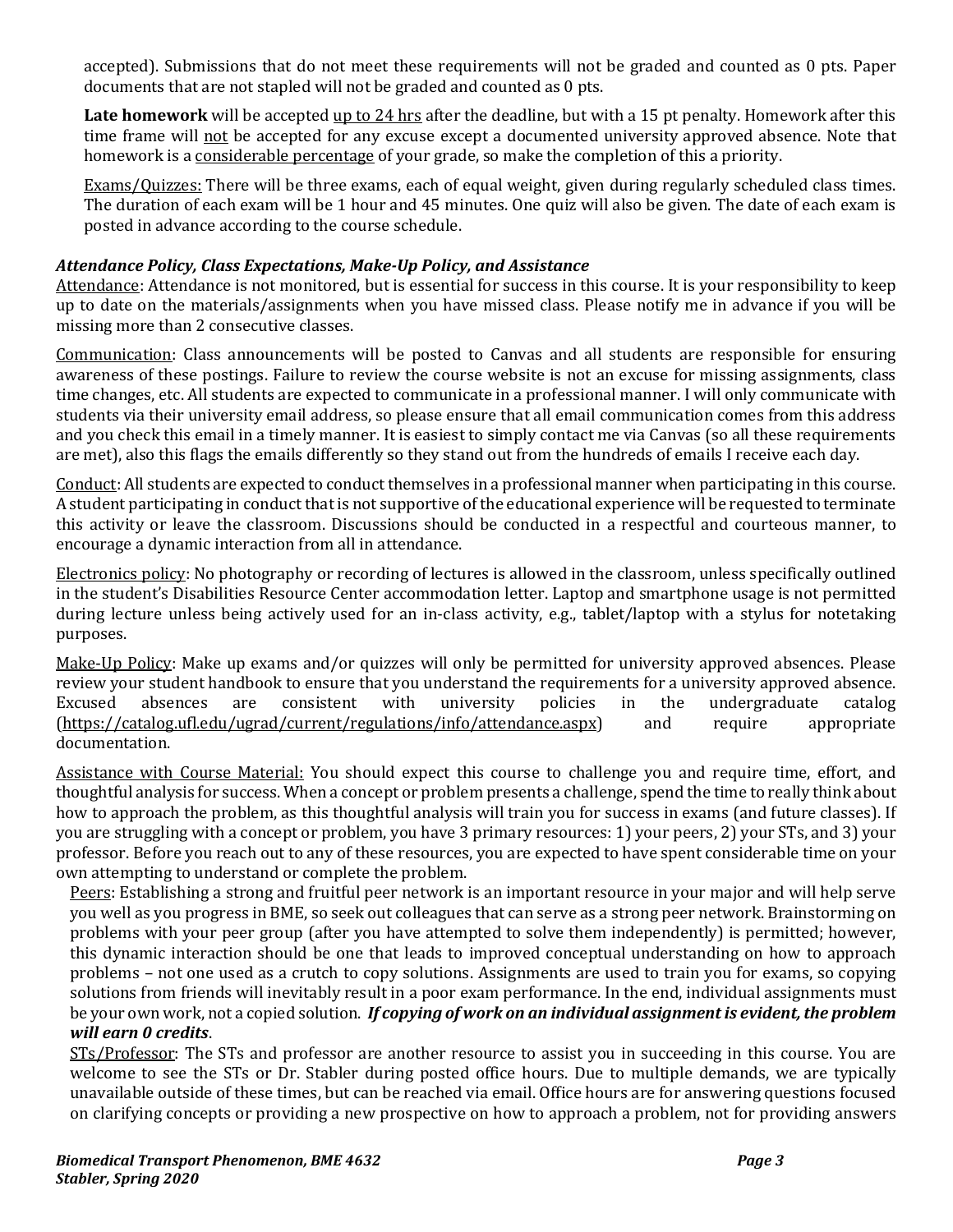accepted). Submissions that do not meet these requirements will not be graded and counted as 0 pts. Paper documents that are not stapled will not be graded and counted as 0 pts.

Late homework will be accepted up to 24 hrs after the deadline, but with a 15 pt penalty. Homework after this time frame will not be accepted for any excuse except a documented university approved absence. Note that homework is a considerable percentage of your grade, so make the completion of this a priority.

Exams/Quizzes: There will be three exams, each of equal weight, given during regularly scheduled class times. The duration of each exam will be 1 hour and 45 minutes. One quiz will also be given. The date of each exam is posted in advance according to the course schedule.

# *Attendance Policy, Class Expectations, Make-Up Policy, and Assistance*

Attendance: Attendance is not monitored, but is essential for success in this course. It is your responsibility to keep up to date on the materials/assignments when you have missed class. Please notify me in advance if you will be missing more than 2 consecutive classes.

Communication: Class announcements will be posted to Canvas and all students are responsible for ensuring awareness of these postings. Failure to review the course website is not an excuse for missing assignments, class time changes, etc. All students are expected to communicate in a professional manner. I will only communicate with students via their university email address, so please ensure that all email communication comes from this address and you check this email in a timely manner. It is easiest to simply contact me via Canvas (so all these requirements are met), also this flags the emails differently so they stand out from the hundreds of emails I receive each day.

Conduct: All students are expected to conduct themselves in a professional manner when participating in this course. A student participating in conduct that is not supportive of the educational experience will be requested to terminate this activity or leave the classroom. Discussions should be conducted in a respectful and courteous manner, to encourage a dynamic interaction from all in attendance.

Electronics policy: No photography or recording of lectures is allowed in the classroom, unless specifically outlined in the student's Disabilities Resource Center accommodation letter. Laptop and smartphone usage is not permitted during lecture unless being actively used for an in-class activity, e.g., tablet/laptop with a stylus for notetaking purposes.

Make-Up Policy: Make up exams and/or quizzes will only be permitted for university approved absences. Please review your student handbook to ensure that you understand the requirements for a university approved absence.<br>Excused absences are consistent with university policies in the undergraduate catalog university policies in the undergraduate catalog<br>  $\langle$ info/attendance.aspx) and require appropriate  $(htts://catalog.ufl.edu/ugrad/current/regulations/info/attendance.aspx)$ documentation.

Assistance with Course Material: You should expect this course to challenge you and require time, effort, and thoughtful analysis for success. When a concept or problem presents a challenge, spend the time to really think about how to approach the problem, as this thoughtful analysis will train you for success in exams (and future classes). If you are struggling with a concept or problem, you have 3 primary resources: 1) your peers, 2) your STs, and 3) your professor. Before you reach out to any of these resources, you are expected to have spent considerable time on your own attempting to understand or complete the problem.

Peers: Establishing a strong and fruitful peer network is an important resource in your major and will help serve you well as you progress in BME, so seek out colleagues that can serve as a strong peer network. Brainstorming on problems with your peer group (after you have attempted to solve them independently) is permitted; however, this dynamic interaction should be one that leads to improved conceptual understanding on how to approach problems – not one used as a crutch to copy solutions. Assignments are used to train you for exams, so copying solutions from friends will inevitably result in a poor exam performance. In the end, individual assignments must be your own work, not a copied solution. *If copying of work on an individual assignment is evident, the problem will earn 0 credits*.

STs/Professor: The STs and professor are another resource to assist you in succeeding in this course. You are welcome to see the STs or Dr. Stabler during posted office hours. Due to multiple demands, we are typically unavailable outside of these times, but can be reached via email. Office hours are for answering questions focused on clarifying concepts or providing a new prospective on how to approach a problem, not for providing answers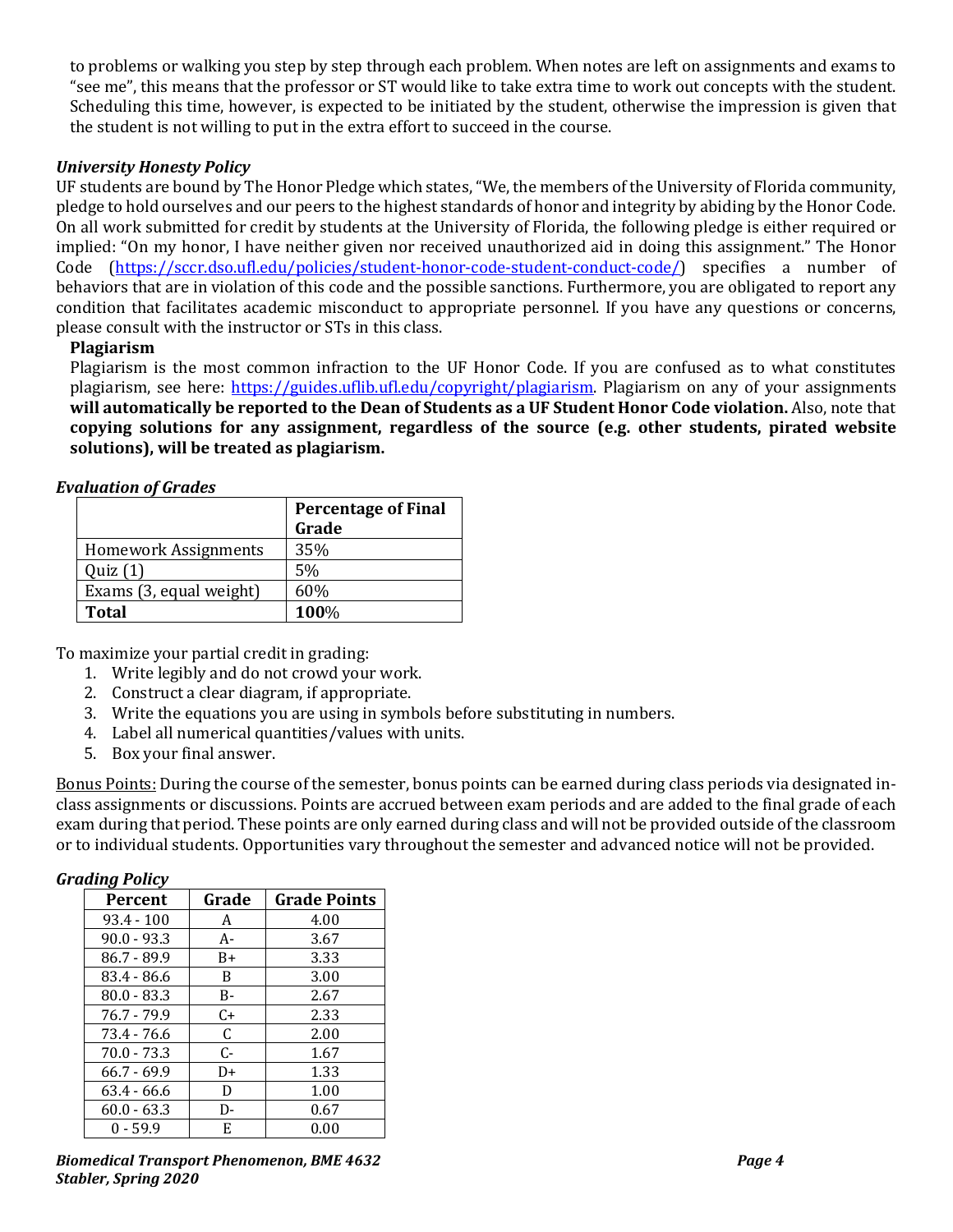to problems or walking you step by step through each problem. When notes are left on assignments and exams to "see me", this means that the professor or ST would like to take extra time to work out concepts with the student. Scheduling this time, however, is expected to be initiated by the student, otherwise the impression is given that the student is not willing to put in the extra effort to succeed in the course.

## *University Honesty Policy*

UF students are bound by The Honor Pledge which states, "We, the members of the University of Florida community, pledge to hold ourselves and our peers to the highest standards of honor and integrity by abiding by the Honor Code. On all work submitted for credit by students at the University of Florida, the following pledge is either required or implied: "On my honor, I have neither given nor received unauthorized aid in doing this assignment." The Honor Code [\(https://sccr.dso.ufl.edu/policies/student-honor-code-student-conduct-code/\)](https://sccr.dso.ufl.edu/policies/student-honor-code-student-conduct-code/) specifies a number of behaviors that are in violation of this code and the possible sanctions. Furthermore, you are obligated to report any condition that facilitates academic misconduct to appropriate personnel. If you have any questions or concerns, please consult with the instructor or STs in this class.

## **Plagiarism**

Plagiarism is the most common infraction to the UF Honor Code. If you are confused as to what constitutes plagiarism, see here: [https://guides.uflib.ufl.edu/copyright/plagiarism.](https://guides.uflib.ufl.edu/copyright/plagiarism) Plagiarism on any of your assignments **will automatically be reported to the Dean of Students as a UF Student Honor Code violation.** Also, note that **copying solutions for any assignment, regardless of the source (e.g. other students, pirated website solutions), will be treated as plagiarism.**

### *Evaluation of Grades*

|                             | <b>Percentage of Final</b> |  |
|-----------------------------|----------------------------|--|
|                             | Grade                      |  |
| <b>Homework Assignments</b> | 35%                        |  |
| Quiz(1)                     | 5%                         |  |
| Exams (3, equal weight)     | 60%                        |  |
| <b>Total</b>                | 100%                       |  |

To maximize your partial credit in grading:

- 1. Write legibly and do not crowd your work.
- 2. Construct a clear diagram, if appropriate.
- 3. Write the equations you are using in symbols before substituting in numbers.
- 4. Label all numerical quantities/values with units.
- 5. Box your final answer.

Bonus Points: During the course of the semester, bonus points can be earned during class periods via designated inclass assignments or discussions. Points are accrued between exam periods and are added to the final grade of each exam during that period. These points are only earned during class and will not be provided outside of the classroom or to individual students. Opportunities vary throughout the semester and advanced notice will not be provided.

#### *Grading Policy*

| <b>Percent</b> | Grade | <b>Grade Points</b> |
|----------------|-------|---------------------|
| $93.4 - 100$   | A     | 4.00                |
| $90.0 - 93.3$  | A-    | 3.67                |
| $86.7 - 89.9$  | B+    | 3.33                |
| 83.4 - 86.6    | B     | 3.00                |
| $80.0 - 83.3$  | B-    | 2.67                |
| 76.7 - 79.9    | $C+$  | 2.33                |
| 73.4 - 76.6    | C.    | 2.00                |
| $70.0 - 73.3$  | C-    | 1.67                |
| $66.7 - 69.9$  | D+    | 1.33                |
| $63.4 - 66.6$  | D     | 1.00                |
| $60.0 - 63.3$  | D-    | 0.67                |
| $0 - 59.9$     | E     | 0.00                |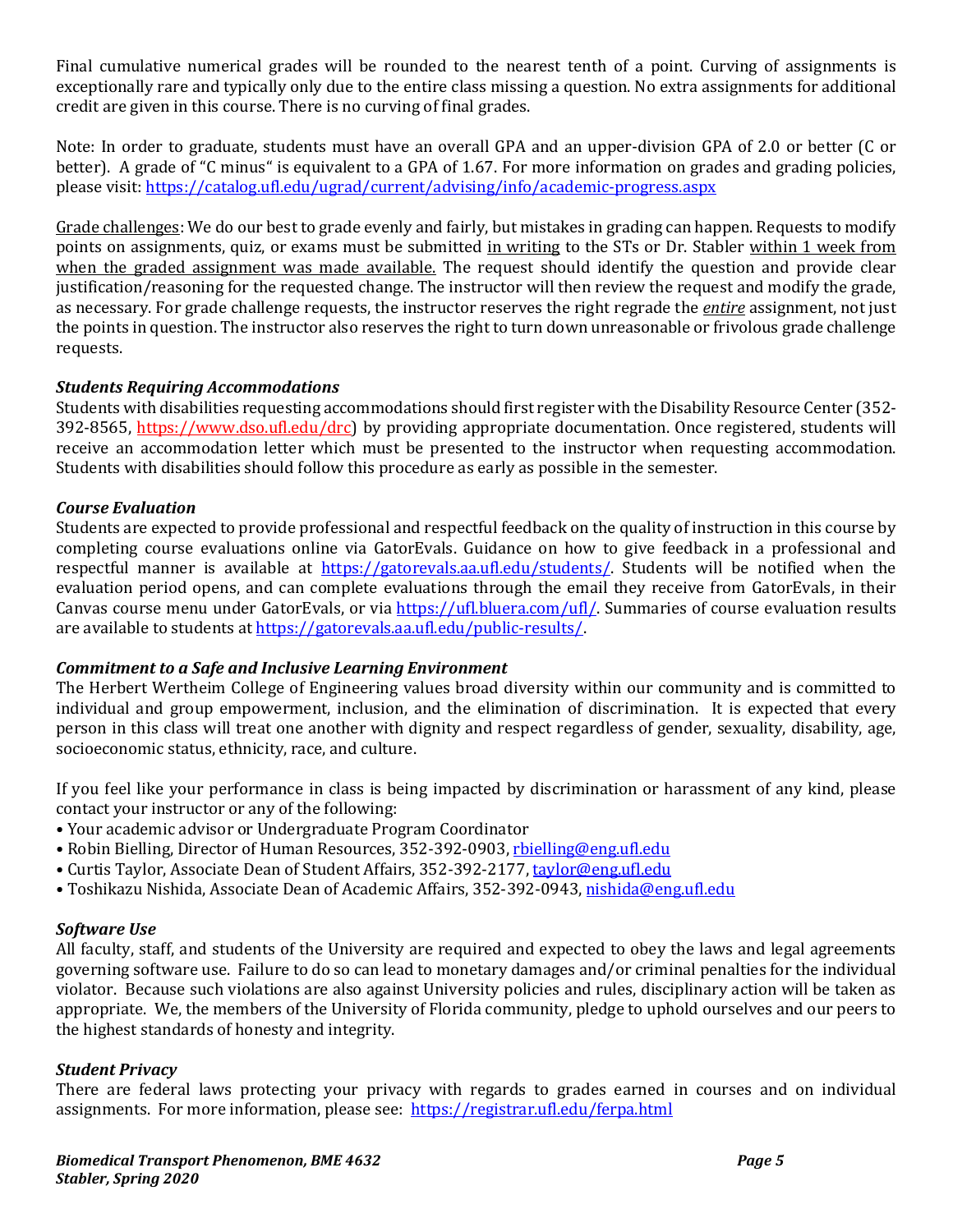Final cumulative numerical grades will be rounded to the nearest tenth of a point. Curving of assignments is exceptionally rare and typically only due to the entire class missing a question. No extra assignments for additional credit are given in this course. There is no curving of final grades.

Note: In order to graduate, students must have an overall GPA and an upper-division GPA of 2.0 or better (C or better). A grade of "C minus" is equivalent to a GPA of 1.67. For more information on grades and grading policies, please visit:<https://catalog.ufl.edu/ugrad/current/advising/info/academic-progress.aspx>

Grade challenges: We do our best to grade evenly and fairly, but mistakes in grading can happen. Requests to modify points on assignments, quiz, or exams must be submitted in writing to the STs or Dr. Stabler within 1 week from when the graded assignment was made available. The request should identify the question and provide clear justification/reasoning for the requested change. The instructor will then review the request and modify the grade, as necessary. For grade challenge requests, the instructor reserves the right regrade the *entire* assignment, not just the points in question. The instructor also reserves the right to turn down unreasonable or frivolous grade challenge requests.

## *Students Requiring Accommodations*

Students with disabilities requesting accommodations should first register with the Disability Resource Center (352- 392-8565, https://www.dso.ufl.edu/drc) by providing appropriate documentation. Once registered, students will receive an accommodation letter which must be presented to the instructor when requesting accommodation. Students with disabilities should follow this procedure as early as possible in the semester.

### *Course Evaluation*

Students are expected to provide professional and respectful feedback on the quality of instruction in this course by completing course evaluations online via GatorEvals. Guidance on how to give feedback in a professional and respectful manner is available at [https://gatorevals.aa.ufl.edu/students/.](https://gatorevals.aa.ufl.edu/students/) Students will be notified when the evaluation period opens, and can complete evaluations through the email they receive from GatorEvals, in their Canvas course menu under GatorEvals, or via [https://ufl.bluera.com/ufl/.](https://ufl.bluera.com/ufl/) Summaries of course evaluation results are available to students a[t https://gatorevals.aa.ufl.edu/public-results/.](https://gatorevals.aa.ufl.edu/public-results/)

## *Commitment to a Safe and Inclusive Learning Environment*

The Herbert Wertheim College of Engineering values broad diversity within our community and is committed to individual and group empowerment, inclusion, and the elimination of discrimination. It is expected that every person in this class will treat one another with dignity and respect regardless of gender, sexuality, disability, age, socioeconomic status, ethnicity, race, and culture.

If you feel like your performance in class is being impacted by discrimination or harassment of any kind, please contact your instructor or any of the following:

- Your academic advisor or Undergraduate Program Coordinator
- Robin Bielling, Director of Human Resources, 352-392-0903, [rbielling@eng.ufl.edu](mailto:rbielling@eng.ufl.edu)
- Curtis Taylor, Associate Dean of Student Affairs, 352-392-2177[, taylor@eng.ufl.edu](mailto:taylor@eng.ufl.edu)
- Toshikazu Nishida, Associate Dean of Academic Affairs, 352-392-0943[, nishida@eng.ufl.edu](mailto:nishida@eng.ufl.edu)

## *Software Use*

All faculty, staff, and students of the University are required and expected to obey the laws and legal agreements governing software use. Failure to do so can lead to monetary damages and/or criminal penalties for the individual violator. Because such violations are also against University policies and rules, disciplinary action will be taken as appropriate. We, the members of the University of Florida community, pledge to uphold ourselves and our peers to the highest standards of honesty and integrity.

## *Student Privacy*

There are federal laws protecting your privacy with regards to grades earned in courses and on individual assignments. For more information, please see: <https://registrar.ufl.edu/ferpa.html>